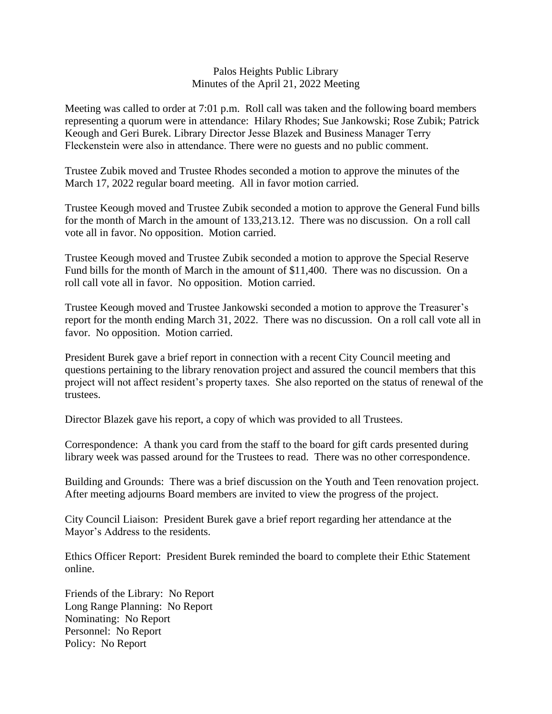## Palos Heights Public Library Minutes of the April 21, 2022 Meeting

Meeting was called to order at 7:01 p.m. Roll call was taken and the following board members representing a quorum were in attendance: Hilary Rhodes; Sue Jankowski; Rose Zubik; Patrick Keough and Geri Burek. Library Director Jesse Blazek and Business Manager Terry Fleckenstein were also in attendance. There were no guests and no public comment.

Trustee Zubik moved and Trustee Rhodes seconded a motion to approve the minutes of the March 17, 2022 regular board meeting. All in favor motion carried.

Trustee Keough moved and Trustee Zubik seconded a motion to approve the General Fund bills for the month of March in the amount of 133,213.12. There was no discussion. On a roll call vote all in favor. No opposition. Motion carried.

Trustee Keough moved and Trustee Zubik seconded a motion to approve the Special Reserve Fund bills for the month of March in the amount of \$11,400. There was no discussion. On a roll call vote all in favor. No opposition. Motion carried.

Trustee Keough moved and Trustee Jankowski seconded a motion to approve the Treasurer's report for the month ending March 31, 2022. There was no discussion. On a roll call vote all in favor. No opposition. Motion carried.

President Burek gave a brief report in connection with a recent City Council meeting and questions pertaining to the library renovation project and assured the council members that this project will not affect resident's property taxes. She also reported on the status of renewal of the trustees.

Director Blazek gave his report, a copy of which was provided to all Trustees.

Correspondence: A thank you card from the staff to the board for gift cards presented during library week was passed around for the Trustees to read. There was no other correspondence.

Building and Grounds: There was a brief discussion on the Youth and Teen renovation project. After meeting adjourns Board members are invited to view the progress of the project.

City Council Liaison: President Burek gave a brief report regarding her attendance at the Mayor's Address to the residents.

Ethics Officer Report: President Burek reminded the board to complete their Ethic Statement online.

Friends of the Library: No Report Long Range Planning: No Report Nominating: No Report Personnel: No Report Policy: No Report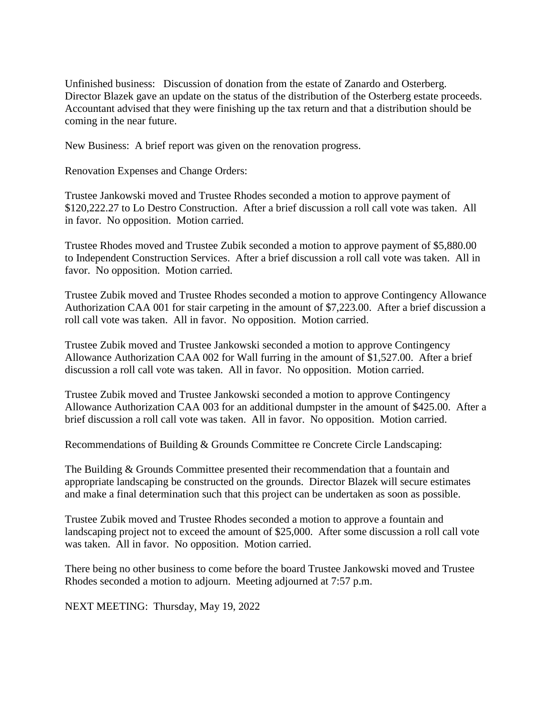Unfinished business: Discussion of donation from the estate of Zanardo and Osterberg. Director Blazek gave an update on the status of the distribution of the Osterberg estate proceeds. Accountant advised that they were finishing up the tax return and that a distribution should be coming in the near future.

New Business: A brief report was given on the renovation progress.

Renovation Expenses and Change Orders:

Trustee Jankowski moved and Trustee Rhodes seconded a motion to approve payment of \$120,222.27 to Lo Destro Construction. After a brief discussion a roll call vote was taken. All in favor. No opposition. Motion carried.

Trustee Rhodes moved and Trustee Zubik seconded a motion to approve payment of \$5,880.00 to Independent Construction Services. After a brief discussion a roll call vote was taken. All in favor. No opposition. Motion carried.

Trustee Zubik moved and Trustee Rhodes seconded a motion to approve Contingency Allowance Authorization CAA 001 for stair carpeting in the amount of \$7,223.00. After a brief discussion a roll call vote was taken. All in favor. No opposition. Motion carried.

Trustee Zubik moved and Trustee Jankowski seconded a motion to approve Contingency Allowance Authorization CAA 002 for Wall furring in the amount of \$1,527.00. After a brief discussion a roll call vote was taken. All in favor. No opposition. Motion carried.

Trustee Zubik moved and Trustee Jankowski seconded a motion to approve Contingency Allowance Authorization CAA 003 for an additional dumpster in the amount of \$425.00. After a brief discussion a roll call vote was taken. All in favor. No opposition. Motion carried.

Recommendations of Building & Grounds Committee re Concrete Circle Landscaping:

The Building & Grounds Committee presented their recommendation that a fountain and appropriate landscaping be constructed on the grounds. Director Blazek will secure estimates and make a final determination such that this project can be undertaken as soon as possible.

Trustee Zubik moved and Trustee Rhodes seconded a motion to approve a fountain and landscaping project not to exceed the amount of \$25,000. After some discussion a roll call vote was taken. All in favor. No opposition. Motion carried.

There being no other business to come before the board Trustee Jankowski moved and Trustee Rhodes seconded a motion to adjourn. Meeting adjourned at 7:57 p.m.

NEXT MEETING: Thursday, May 19, 2022